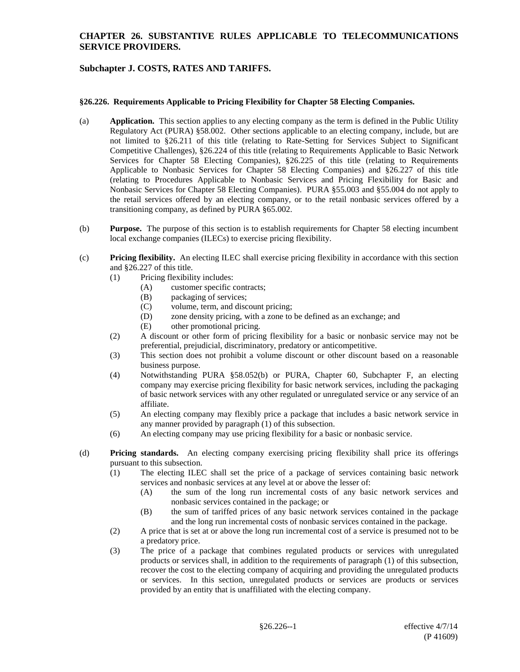### **CHAPTER 26. SUBSTANTIVE RULES APPLICABLE TO TELECOMMUNICATIONS SERVICE PROVIDERS.**

# **Subchapter J. COSTS, RATES AND TARIFFS.**

#### **§26.226. Requirements Applicable to Pricing Flexibility for Chapter 58 Electing Companies.**

- (a) **Application.** This section applies to any electing company as the term is defined in the Public Utility Regulatory Act (PURA) §58.002. Other sections applicable to an electing company, include, but are not limited to §26.211 of this title (relating to Rate-Setting for Services Subject to Significant Competitive Challenges), §26.224 of this title (relating to Requirements Applicable to Basic Network Services for Chapter 58 Electing Companies), §26.225 of this title (relating to Requirements Applicable to Nonbasic Services for Chapter 58 Electing Companies) and §26.227 of this title (relating to Procedures Applicable to Nonbasic Services and Pricing Flexibility for Basic and Nonbasic Services for Chapter 58 Electing Companies). PURA §55.003 and §55.004 do not apply to the retail services offered by an electing company, or to the retail nonbasic services offered by a transitioning company, as defined by PURA §65.002.
- (b) **Purpose.** The purpose of this section is to establish requirements for Chapter 58 electing incumbent local exchange companies (ILECs) to exercise pricing flexibility.
- (c) **Pricing flexibility.** An electing ILEC shall exercise pricing flexibility in accordance with this section and §26.227 of this title.
	- (1) Pricing flexibility includes:
		- (A) customer specific contracts;
		- (B) packaging of services;
		- (C) volume, term, and discount pricing;
		- (D) zone density pricing, with a zone to be defined as an exchange; and
		- (E) other promotional pricing.
	- (2) A discount or other form of pricing flexibility for a basic or nonbasic service may not be preferential, prejudicial, discriminatory, predatory or anticompetitive.
	- (3) This section does not prohibit a volume discount or other discount based on a reasonable business purpose.
	- (4) Notwithstanding PURA §58.052(b) or PURA, Chapter 60, Subchapter F, an electing company may exercise pricing flexibility for basic network services, including the packaging of basic network services with any other regulated or unregulated service or any service of an affiliate.
	- (5) An electing company may flexibly price a package that includes a basic network service in any manner provided by paragraph (1) of this subsection.
	- (6) An electing company may use pricing flexibility for a basic or nonbasic service.
- (d) **Pricing standards.** An electing company exercising pricing flexibility shall price its offerings pursuant to this subsection.
	- (1) The electing ILEC shall set the price of a package of services containing basic network services and nonbasic services at any level at or above the lesser of:
		- (A) the sum of the long run incremental costs of any basic network services and nonbasic services contained in the package; or
		- (B) the sum of tariffed prices of any basic network services contained in the package and the long run incremental costs of nonbasic services contained in the package.
	- (2) A price that is set at or above the long run incremental cost of a service is presumed not to be a predatory price.
	- (3) The price of a package that combines regulated products or services with unregulated products or services shall, in addition to the requirements of paragraph (1) of this subsection, recover the cost to the electing company of acquiring and providing the unregulated products or services. In this section, unregulated products or services are products or services provided by an entity that is unaffiliated with the electing company.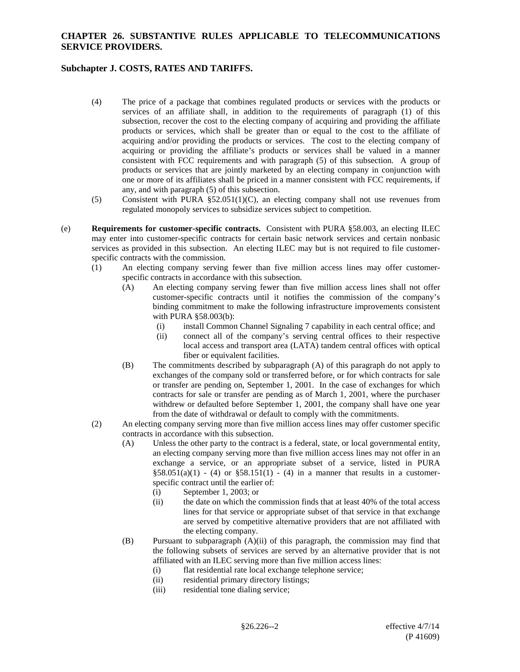### **CHAPTER 26. SUBSTANTIVE RULES APPLICABLE TO TELECOMMUNICATIONS SERVICE PROVIDERS.**

# **Subchapter J. COSTS, RATES AND TARIFFS.**

- (4) The price of a package that combines regulated products or services with the products or services of an affiliate shall, in addition to the requirements of paragraph (1) of this subsection, recover the cost to the electing company of acquiring and providing the affiliate products or services, which shall be greater than or equal to the cost to the affiliate of acquiring and/or providing the products or services. The cost to the electing company of acquiring or providing the affiliate's products or services shall be valued in a manner consistent with FCC requirements and with paragraph (5) of this subsection. A group of products or services that are jointly marketed by an electing company in conjunction with one or more of its affiliates shall be priced in a manner consistent with FCC requirements, if any, and with paragraph (5) of this subsection.
- (5) Consistent with PURA §52.051(1)(C), an electing company shall not use revenues from regulated monopoly services to subsidize services subject to competition.
- (e) **Requirements for customer-specific contracts.** Consistent with PURA §58.003, an electing ILEC may enter into customer-specific contracts for certain basic network services and certain nonbasic services as provided in this subsection. An electing ILEC may but is not required to file customerspecific contracts with the commission.
	- (1) An electing company serving fewer than five million access lines may offer customerspecific contracts in accordance with this subsection.
		- (A) An electing company serving fewer than five million access lines shall not offer customer-specific contracts until it notifies the commission of the company's binding commitment to make the following infrastructure improvements consistent with PURA §58.003(b):
			- (i) install Common Channel Signaling 7 capability in each central office; and
			- (ii) connect all of the company's serving central offices to their respective local access and transport area (LATA) tandem central offices with optical fiber or equivalent facilities.
		- (B) The commitments described by subparagraph (A) of this paragraph do not apply to exchanges of the company sold or transferred before, or for which contracts for sale or transfer are pending on, September 1, 2001. In the case of exchanges for which contracts for sale or transfer are pending as of March 1, 2001, where the purchaser withdrew or defaulted before September 1, 2001, the company shall have one year from the date of withdrawal or default to comply with the commitments.
	- (2) An electing company serving more than five million access lines may offer customer specific contracts in accordance with this subsection.
		- (A) Unless the other party to the contract is a federal, state, or local governmental entity, an electing company serving more than five million access lines may not offer in an exchange a service, or an appropriate subset of a service, listed in PURA  $$58.051(a)(1) - (4)$  or  $$58.151(1) - (4)$  in a manner that results in a customerspecific contract until the earlier of:
			- (i) September 1, 2003; or
			- (ii) the date on which the commission finds that at least 40% of the total access lines for that service or appropriate subset of that service in that exchange are served by competitive alternative providers that are not affiliated with the electing company.
		- (B) Pursuant to subparagraph (A)(ii) of this paragraph, the commission may find that the following subsets of services are served by an alternative provider that is not affiliated with an ILEC serving more than five million access lines:
			- (i) flat residential rate local exchange telephone service;
			- (ii) residential primary directory listings;
			- (iii) residential tone dialing service;